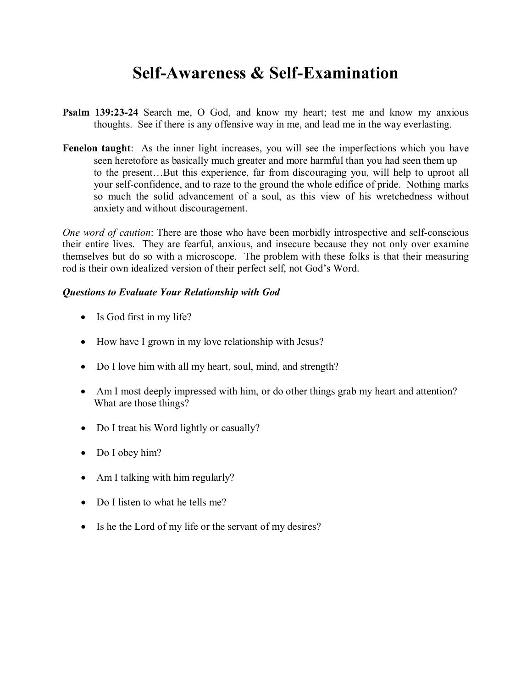## **Self-Awareness & Self-Examination**

- **Psalm 139:23-24** Search me, O God, and know my heart; test me and know my anxious thoughts. See if there is any offensive way in me, and lead me in the way everlasting.
- **Fenelon taught**: As the inner light increases, you will see the imperfections which you have seen heretofore as basically much greater and more harmful than you had seen them up to the present…But this experience, far from discouraging you, will help to uproot all your self-confidence, and to raze to the ground the whole edifice of pride. Nothing marks so much the solid advancement of a soul, as this view of his wretchedness without anxiety and without discouragement.

*One word of caution*: There are those who have been morbidly introspective and self-conscious their entire lives. They are fearful, anxious, and insecure because they not only over examine themselves but do so with a microscope. The problem with these folks is that their measuring rod is their own idealized version of their perfect self, not God's Word.

## *Questions to Evaluate Your Relationship with God*

- Is God first in my life?
- How have I grown in my love relationship with Jesus?
- Do I love him with all my heart, soul, mind, and strength?
- Am I most deeply impressed with him, or do other things grab my heart and attention? What are those things?
- Do I treat his Word lightly or casually?
- Do I obey him?
- Am I talking with him regularly?
- Do I listen to what he tells me?
- Is he the Lord of my life or the servant of my desires?